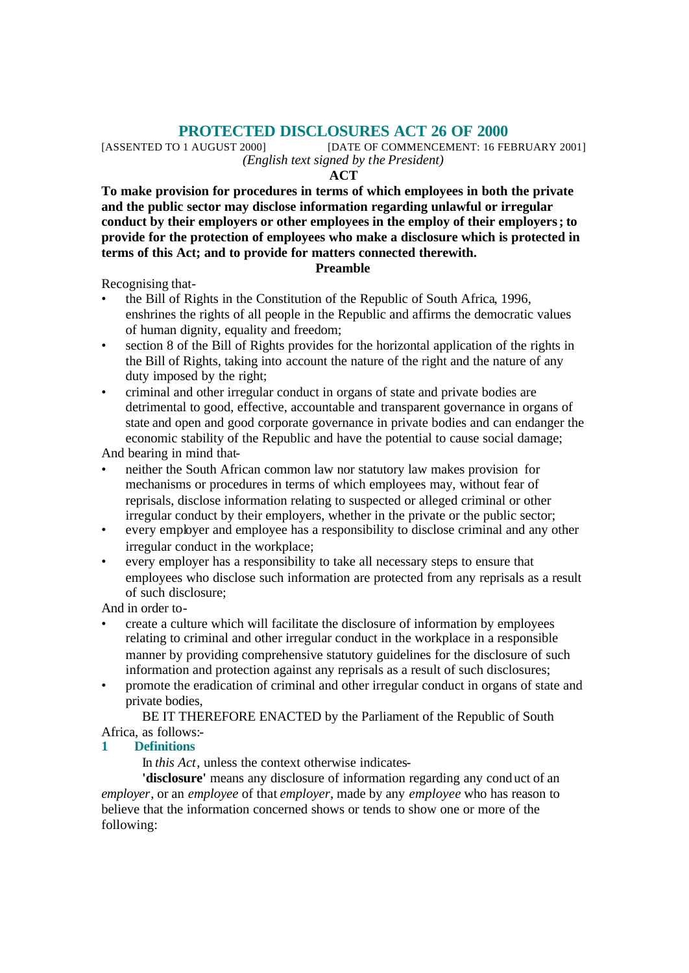**PROTECTED DISCLOSURES ACT 26 OF 2000**<br>[DATE OF COMMENCEMENT: 16 FE [DATE OF COMMENCEMENT: 16 FEBRUARY 2001] *(English text signed by the President)*

#### **ACT**

**To make provision for procedures in terms of which employees in both the private and the public sector may disclose information regarding unlawful or irregular conduct by their employers or other employees in the employ of their employers; to provide for the protection of employees who make a disclosure which is protected in terms of this Act; and to provide for matters connected therewith.**

#### **Preamble**

Recognising that-

- the Bill of Rights in the Constitution of the Republic of South Africa, 1996, enshrines the rights of all people in the Republic and affirms the democratic values of human dignity, equality and freedom;
- section 8 of the Bill of Rights provides for the horizontal application of the rights in the Bill of Rights, taking into account the nature of the right and the nature of any duty imposed by the right;
- criminal and other irregular conduct in organs of state and private bodies are detrimental to good, effective, accountable and transparent governance in organs of state and open and good corporate governance in private bodies and can endanger the economic stability of the Republic and have the potential to cause social damage;

And bearing in mind that-

- neither the South African common law nor statutory law makes provision for mechanisms or procedures in terms of which employees may, without fear of reprisals, disclose information relating to suspected or alleged criminal or other irregular conduct by their employers, whether in the private or the public sector;
- every employer and employee has a responsibility to disclose criminal and any other irregular conduct in the workplace;
- every employer has a responsibility to take all necessary steps to ensure that employees who disclose such information are protected from any reprisals as a result of such disclosure;

And in order to-

- create a culture which will facilitate the disclosure of information by employees relating to criminal and other irregular conduct in the workplace in a responsible manner by providing comprehensive statutory guidelines for the disclosure of such information and protection against any reprisals as a result of such disclosures;
- promote the eradication of criminal and other irregular conduct in organs of state and private bodies,

BE IT THEREFORE ENACTED by the Parliament of the Republic of South Africa, as follows:-

# **1 Definitions**

In *this Act*, unless the context otherwise indicates-

**'disclosure'** means any disclosure of information regarding any conduct of an *employer*, or an *employee* of that *employer*, made by any *employee* who has reason to believe that the information concerned shows or tends to show one or more of the following: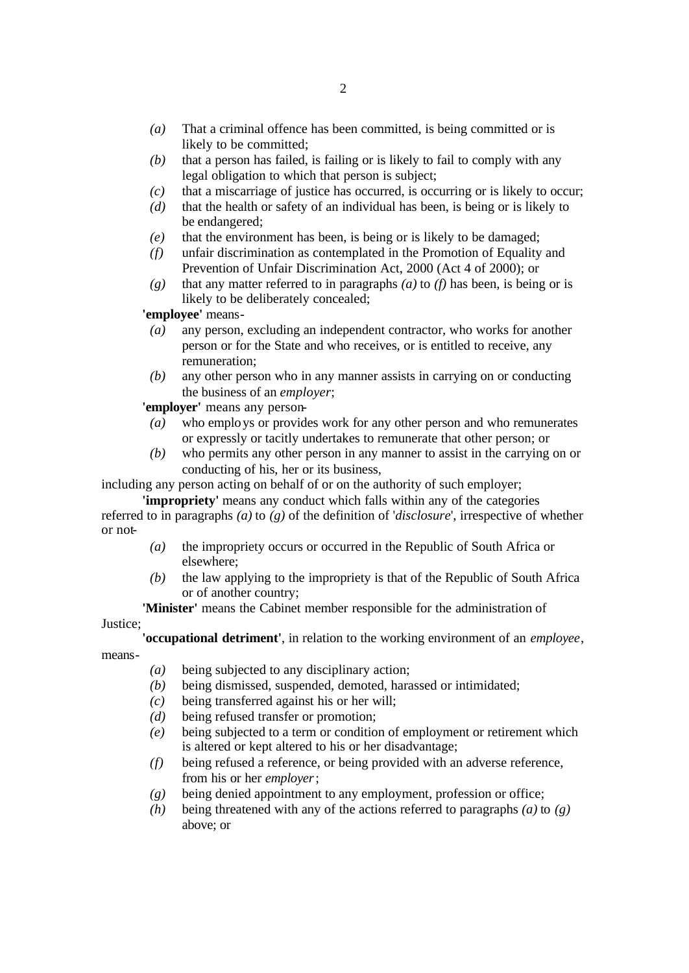- *(a)* That a criminal offence has been committed, is being committed or is likely to be committed;
- *(b)* that a person has failed, is failing or is likely to fail to comply with any legal obligation to which that person is subject;
- *(c)* that a miscarriage of justice has occurred, is occurring or is likely to occur;
- *(d)* that the health or safety of an individual has been, is being or is likely to be endangered;
- *(e)* that the environment has been, is being or is likely to be damaged;
- *(f)* unfair discrimination as contemplated in the Promotion of Equality and Prevention of Unfair Discrimination Act, 2000 (Act 4 of 2000); or
- *(g)* that any matter referred to in paragraphs *(a)* to *(f)* has been, is being or is likely to be deliberately concealed;

**'employee'** means-

- *(a)* any person, excluding an independent contractor, who works for another person or for the State and who receives, or is entitled to receive, any remuneration;
- *(b)* any other person who in any manner assists in carrying on or conducting the business of an *employer*;

**'employer'** means any person-

- *(a)* who employs or provides work for any other person and who remunerates or expressly or tacitly undertakes to remunerate that other person; or
- *(b)* who permits any other person in any manner to assist in the carrying on or conducting of his, her or its business,

including any person acting on behalf of or on the authority of such employer;

**'impropriety'** means any conduct which falls within any of the categories referred to in paragraphs *(a)* to *(g)* of the definition of '*disclosure*', irrespective of whether or not-

- *(a)* the impropriety occurs or occurred in the Republic of South Africa or elsewhere;
- *(b)* the law applying to the impropriety is that of the Republic of South Africa or of another country;

**'Minister'** means the Cabinet member responsible for the administration of

Justice;

**'occupational detriment'**, in relation to the working environment of an *employee*,

means-

- *(a)* being subjected to any disciplinary action;
- *(b)* being dismissed, suspended, demoted, harassed or intimidated;
- *(c)* being transferred against his or her will;
- *(d)* being refused transfer or promotion;
- *(e)* being subjected to a term or condition of employment or retirement which is altered or kept altered to his or her disadvantage;
- *(f)* being refused a reference, or being provided with an adverse reference, from his or her *employer*;
- *(g)* being denied appointment to any employment, profession or office;
- *(h)* being threatened with any of the actions referred to paragraphs *(a)* to *(g)* above; or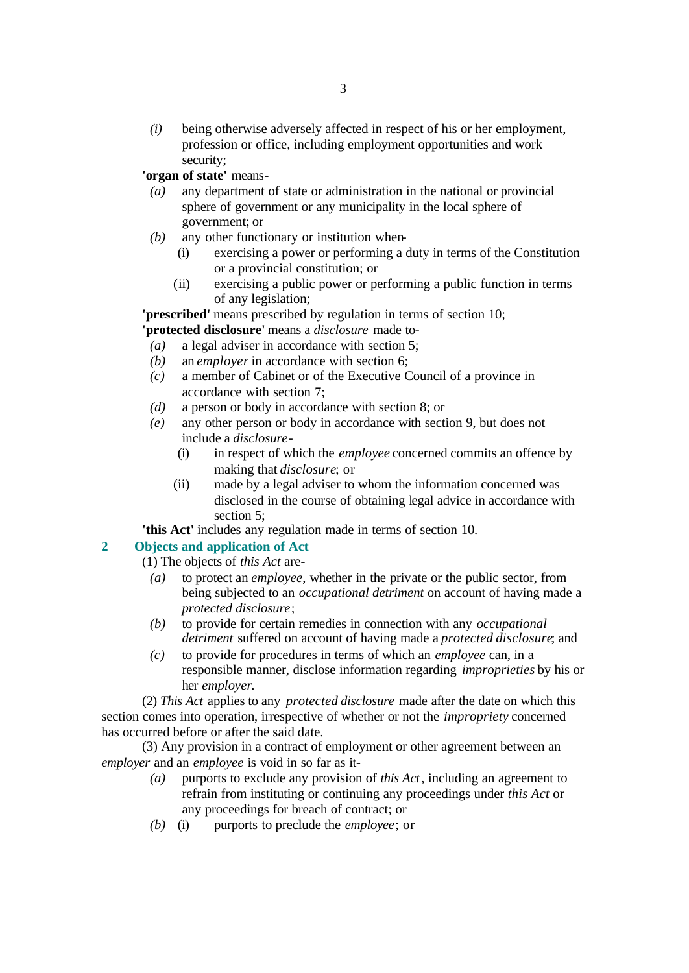*(i)* being otherwise adversely affected in respect of his or her employment, profession or office, including employment opportunities and work security;

**'organ of state'** means-

- *(a)* any department of state or administration in the national or provincial sphere of government or any municipality in the local sphere of government; or
- *(b)* any other functionary or institution when-
	- (i) exercising a power or performing a duty in terms of the Constitution or a provincial constitution; or
	- (ii) exercising a public power or performing a public function in terms of any legislation;

**'prescribed'** means prescribed by regulation in terms of section 10; **'protected disclosure'** means a *disclosure* made to-

- *(a)* a legal adviser in accordance with section 5;
- *(b)* an *employer* in accordance with section 6;
- *(c)* a member of Cabinet or of the Executive Council of a province in accordance with section 7;
- *(d)* a person or body in accordance with section 8; or
- *(e)* any other person or body in accordance with section 9, but does not include a *disclosure*-
	- (i) in respect of which the *employee* concerned commits an offence by making that *disclosure*; or
	- (ii) made by a legal adviser to whom the information concerned was disclosed in the course of obtaining legal advice in accordance with section 5;

**'this Act'** includes any regulation made in terms of section 10.

# **2 Objects and application of Act**

- (1) The objects of *this Act* are-
	- *(a)* to protect an *employee*, whether in the private or the public sector, from being subjected to an *occupational detriment* on account of having made a *protected disclosure*;
	- *(b)* to provide for certain remedies in connection with any *occupational detriment* suffered on account of having made a *protected disclosure*; and
	- *(c)* to provide for procedures in terms of which an *employee* can, in a responsible manner, disclose information regarding *improprieties* by his or her *employer*.

(2) *This Act* applies to any *protected disclosure* made after the date on which this section comes into operation, irrespective of whether or not the *impropriety* concerned has occurred before or after the said date.

(3) Any provision in a contract of employment or other agreement between an *employer* and an *employee* is void in so far as it-

- *(a)* purports to exclude any provision of *this Act*, including an agreement to refrain from instituting or continuing any proceedings under *this Act* or any proceedings for breach of contract; or
- *(b)* (i) purports to preclude the *employee*; or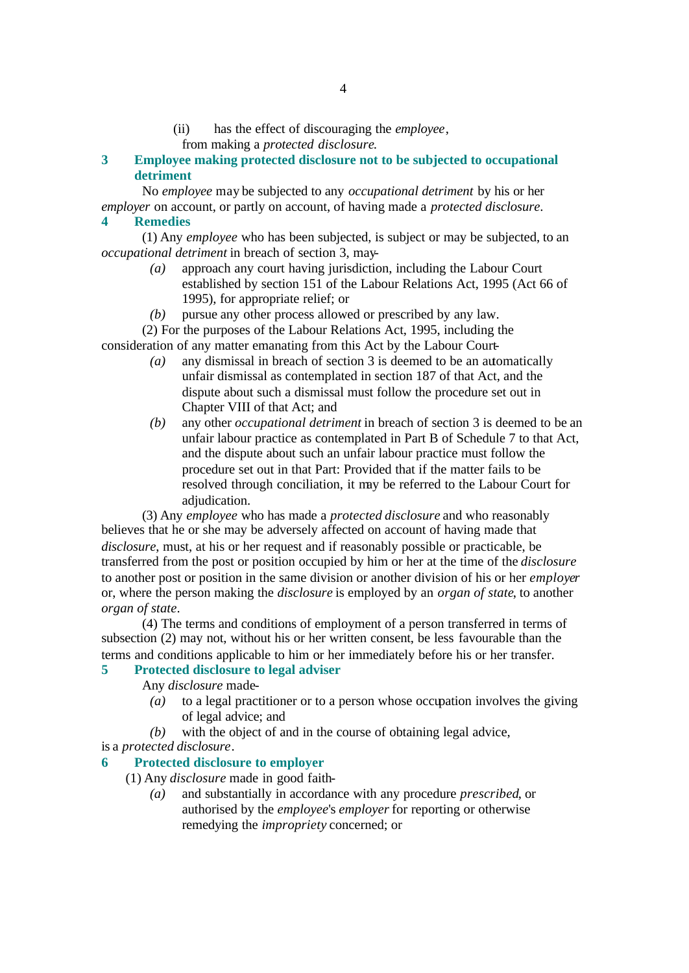(ii) has the effect of discouraging the *employee*,

from making a *protected disclosure*.

**3 Employee making protected disclosure not to be subjected to occupational detriment**

No *employee* may be subjected to any *occupational detriment* by his or her *employer* on account, or partly on account, of having made a *protected disclosure*. **4 Remedies**

(1) Any *employee* who has been subjected, is subject or may be subjected, to an *occupational detriment* in breach of section 3, may-

- *(a)* approach any court having jurisdiction, including the Labour Court established by section 151 of the Labour Relations Act, 1995 (Act 66 of 1995), for appropriate relief; or
- *(b)* pursue any other process allowed or prescribed by any law.
- (2) For the purposes of the Labour Relations Act, 1995, including the consideration of any matter emanating from this Act by the Labour Court-
	- *(a)* any dismissal in breach of section 3 is deemed to be an automatically unfair dismissal as contemplated in section 187 of that Act, and the dispute about such a dismissal must follow the procedure set out in Chapter VIII of that Act; and
	- *(b)* any other *occupational detriment* in breach of section 3 is deemed to be an unfair labour practice as contemplated in Part B of Schedule 7 to that Act, and the dispute about such an unfair labour practice must follow the procedure set out in that Part: Provided that if the matter fails to be resolved through conciliation, it may be referred to the Labour Court for adjudication.

(3) Any *employee* who has made a *protected disclosure* and who reasonably believes that he or she may be adversely affected on account of having made that *disclosure*, must, at his or her request and if reasonably possible or practicable, be transferred from the post or position occupied by him or her at the time of the *disclosure* to another post or position in the same division or another division of his or her *employer* or, where the person making the *disclosure* is employed by an *organ of state*, to another *organ of state*.

(4) The terms and conditions of employment of a person transferred in terms of subsection (2) may not, without his or her written consent, be less favourable than the terms and conditions applicable to him or her immediately before his or her transfer.

# **5 Protected disclosure to legal adviser**

Any *disclosure* made-

- *(a)* to a legal practitioner or to a person whose occupation involves the giving of legal advice; and
- *(b)* with the object of and in the course of obtaining legal advice,

# is a *protected disclosure*.

# **6 Protected disclosure to employer**

(1) Any *disclosure* made in good faith-

*(a)* and substantially in accordance with any procedure *prescribed*, or authorised by the *employee*'s *employer* for reporting or otherwise remedying the *impropriety* concerned; or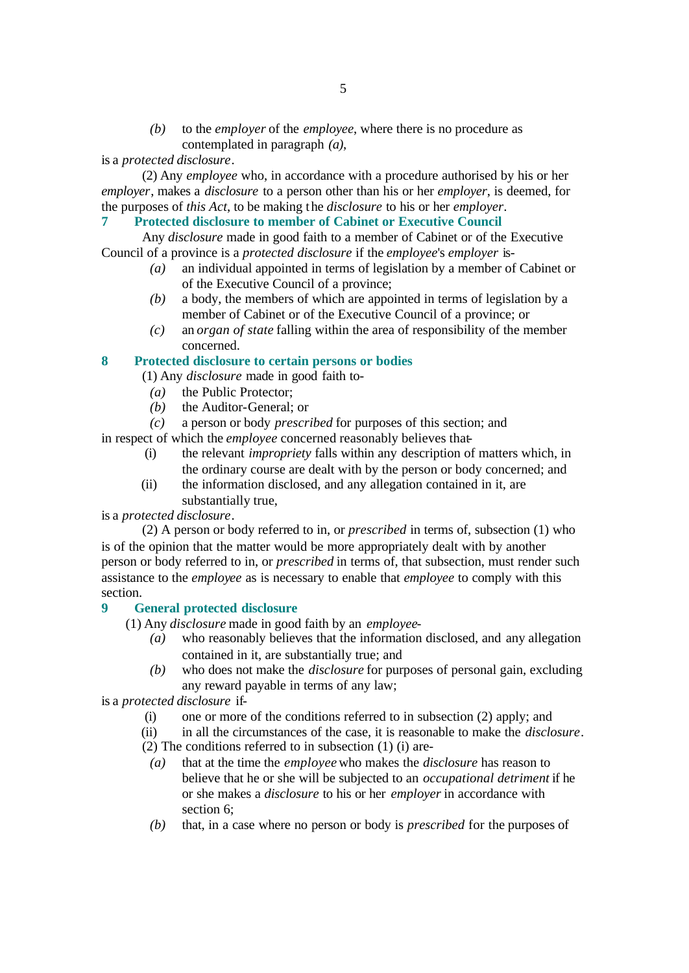*(b)* to the *employer* of the *employee*, where there is no procedure as contemplated in paragraph *(a)*,

is a *protected disclosure*.

(2) Any *employee* who, in accordance with a procedure authorised by his or her *employer*, makes a *disclosure* to a person other than his or her *employer*, is deemed, for the purposes of *this Act*, to be making the *disclosure* to his or her *employer*.

**7 Protected disclosure to member of Cabinet or Executive Council**

Any *disclosure* made in good faith to a member of Cabinet or of the Executive Council of a province is a *protected disclosure* if the *employee*'s *employer* is-

- *(a)* an individual appointed in terms of legislation by a member of Cabinet or of the Executive Council of a province;
- *(b)* a body, the members of which are appointed in terms of legislation by a member of Cabinet or of the Executive Council of a province; or
- *(c)* an *organ of state* falling within the area of responsibility of the member concerned.

#### **8 Protected disclosure to certain persons or bodies**

(1) Any *disclosure* made in good faith to-

- *(a)* the Public Protector;
- *(b)* the Auditor-General; or

*(c)* a person or body *prescribed* for purposes of this section; and

in respect of which the *employee* concerned reasonably believes that-

- (i) the relevant *impropriety* falls within any description of matters which, in the ordinary course are dealt with by the person or body concerned; and
- (ii) the information disclosed, and any allegation contained in it, are substantially true,

#### is a *protected disclosure*.

(2) A person or body referred to in, or *prescribed* in terms of, subsection (1) who is of the opinion that the matter would be more appropriately dealt with by another person or body referred to in, or *prescribed* in terms of, that subsection, must render such assistance to the *employee* as is necessary to enable that *employee* to comply with this section.

# **9 General protected disclosure**

(1) Any *disclosure* made in good faith by an *employee*-

- *(a)* who reasonably believes that the information disclosed, and any allegation contained in it, are substantially true; and
- *(b)* who does not make the *disclosure* for purposes of personal gain, excluding any reward payable in terms of any law;

is a *protected disclosure* if-

- (i) one or more of the conditions referred to in subsection (2) apply; and
- (ii) in all the circumstances of the case, it is reasonable to make the *disclosure*.
- (2) The conditions referred to in subsection (1) (i) are-
- *(a)* that at the time the *employee* who makes the *disclosure* has reason to believe that he or she will be subjected to an *occupational detriment* if he or she makes a *disclosure* to his or her *employer* in accordance with section 6;
- *(b)* that, in a case where no person or body is *prescribed* for the purposes of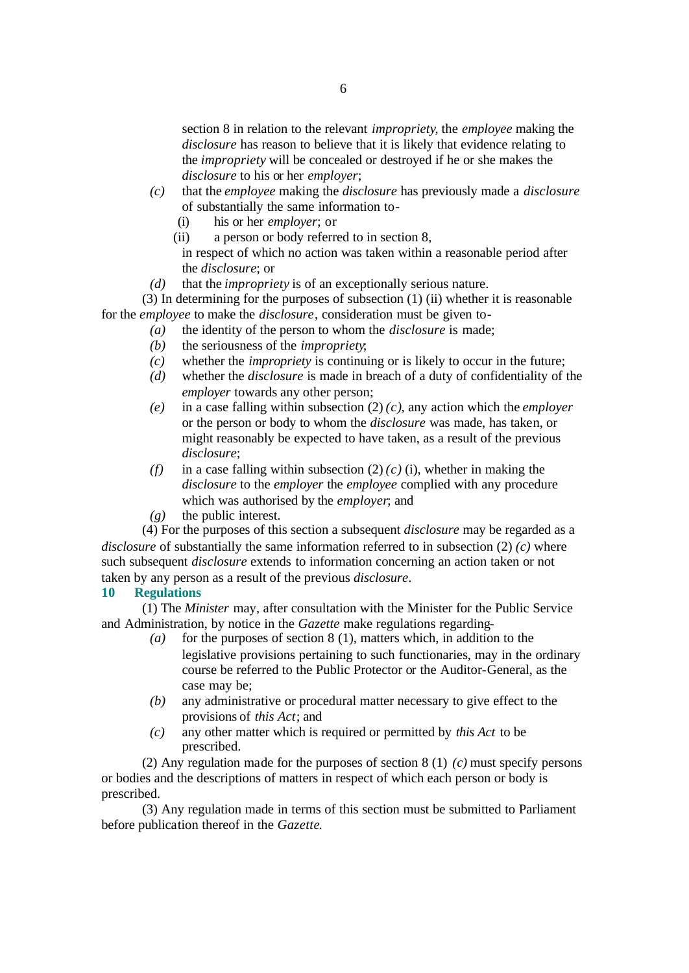section 8 in relation to the relevant *impropriety*, the *employee* making the *disclosure* has reason to believe that it is likely that evidence relating to the *impropriety* will be concealed or destroyed if he or she makes the *disclosure* to his or her *employer*;

- *(c)* that the *employee* making the *disclosure* has previously made a *disclosure* of substantially the same information to-
	- (i) his or her *employer*; or
	- (ii) a person or body referred to in section 8,

in respect of which no action was taken within a reasonable period after the *disclosure*; or

*(d)* that the *impropriety* is of an exceptionally serious nature.

(3) In determining for the purposes of subsection (1) (ii) whether it is reasonable for the *employee* to make the *disclosure*, consideration must be given to-

- *(a)* the identity of the person to whom the *disclosure* is made;
- *(b)* the seriousness of the *impropriety*;
- *(c)* whether the *impropriety* is continuing or is likely to occur in the future;
- *(d)* whether the *disclosure* is made in breach of a duty of confidentiality of the *employer* towards any other person;
- *(e)* in a case falling within subsection (2) *(c)*, any action which the *employer* or the person or body to whom the *disclosure* was made, has taken, or might reasonably be expected to have taken, as a result of the previous *disclosure*;
- *(f)* in a case falling within subsection  $(2)$   $(c)$   $(i)$ , whether in making the *disclosure* to the *employer* the *employee* complied with any procedure which was authorised by the *employer*; and
- *(g)* the public interest.

(4) For the purposes of this section a subsequent *disclosure* may be regarded as a *disclosure* of substantially the same information referred to in subsection (2) *(c)* where such subsequent *disclosure* extends to information concerning an action taken or not taken by any person as a result of the previous *disclosure*.

#### **10 Regulations**

(1) The *Minister* may, after consultation with the Minister for the Public Service and Administration, by notice in the *Gazette* make regulations regarding-

- *(a)* for the purposes of section 8 (1), matters which, in addition to the legislative provisions pertaining to such functionaries, may in the ordinary course be referred to the Public Protector or the Auditor-General, as the case may be;
- *(b)* any administrative or procedural matter necessary to give effect to the provisions of *this Act*; and
- *(c)* any other matter which is required or permitted by *this Act* to be prescribed.

(2) Any regulation made for the purposes of section 8 (1) *(c)* must specify persons or bodies and the descriptions of matters in respect of which each person or body is prescribed.

(3) Any regulation made in terms of this section must be submitted to Parliament before publication thereof in the *Gazette*.